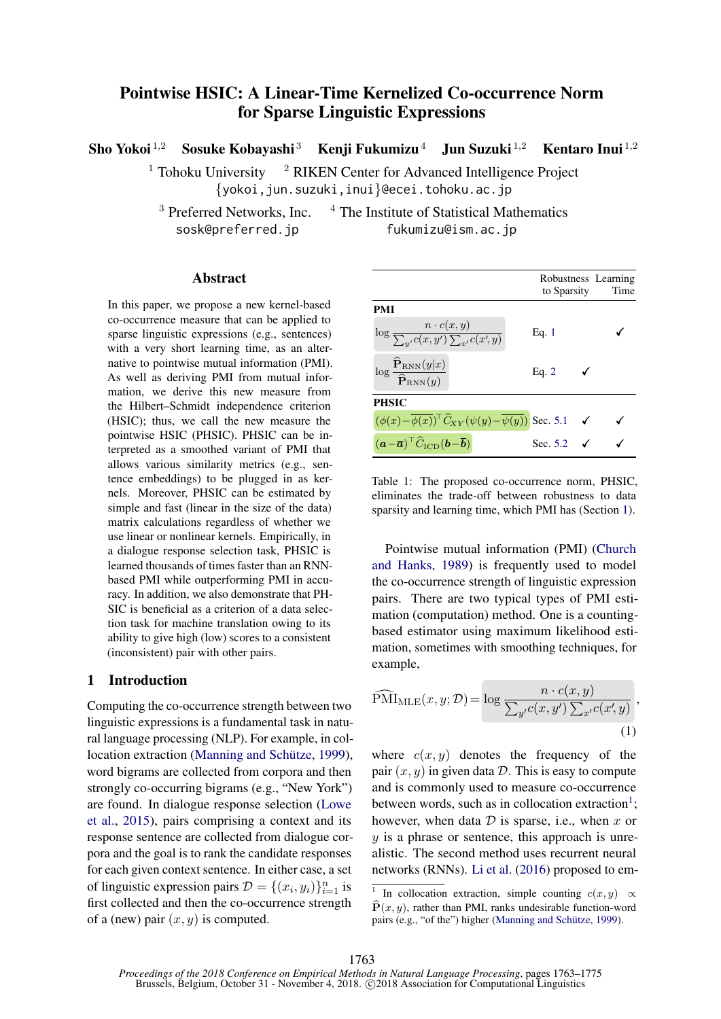# <span id="page-0-2"></span>Pointwise HSIC: A Linear-Time Kernelized Co-occurrence Norm for Sparse Linguistic Expressions

Sho Yokoi <sup>1,2</sup> Sosuke Kobayashi <sup>3</sup> Kenji Fukumizu<sup>4</sup> Jun Suzuki <sup>1,2</sup> Kentaro Inui <sup>1,2</sup>

<sup>1</sup> Tohoku University  $\frac{2}{7}$  RIKEN Center for Advanced Intelligence Project {yokoi,jun.suzuki,inui}@ecei.tohoku.ac.jp

 $3$  Preferred Networks, Inc.  $4$  The Institute of Statistical Mathematics sosk@preferred.jp fukumizu@ism.ac.jp

## Abstract

In this paper, we propose a new kernel-based co-occurrence measure that can be applied to sparse linguistic expressions (e.g., sentences) with a very short learning time, as an alternative to pointwise mutual information (PMI). As well as deriving PMI from mutual information, we derive this new measure from the Hilbert–Schmidt independence criterion (HSIC); thus, we call the new measure the pointwise HSIC (PHSIC). PHSIC can be interpreted as a smoothed variant of PMI that allows various similarity metrics (e.g., sentence embeddings) to be plugged in as kernels. Moreover, PHSIC can be estimated by simple and fast (linear in the size of the data) matrix calculations regardless of whether we use linear or nonlinear kernels. Empirically, in a dialogue response selection task, PHSIC is learned thousands of times faster than an RNNbased PMI while outperforming PMI in accuracy. In addition, we also demonstrate that PH-SIC is beneficial as a criterion of a data selection task for machine translation owing to its ability to give high (low) scores to a consistent (inconsistent) pair with other pairs.

## <span id="page-0-1"></span>1 Introduction

Computing the co-occurrence strength between two linguistic expressions is a fundamental task in natural language processing (NLP). For example, in col-location extraction (Manning and Schütze, [1999\)](#page-9-0), word bigrams are collected from corpora and then strongly co-occurring bigrams (e.g., "New York") are found. In dialogue response selection [\(Lowe](#page-9-1) [et al.,](#page-9-1) [2015\)](#page-9-1), pairs comprising a context and its response sentence are collected from dialogue corpora and the goal is to rank the candidate responses for each given context sentence. In either case, a set of linguistic expression pairs  $\mathcal{D} = \{(x_i, y_i)\}_{i=1}^n$  is first collected and then the co-occurrence strength of a (new) pair  $(x, y)$  is computed.

|                                                                                                             | to Sparsity           | Robustness Learning<br>Time |
|-------------------------------------------------------------------------------------------------------------|-----------------------|-----------------------------|
| PMI                                                                                                         |                       |                             |
| $\log \frac{n \cdot c(x,y)}{\sum_{y'} c(x,y') \sum_{x'} c(x',y)}$                                           | Eq. 1                 |                             |
| $\log \frac{\widehat{\mathbf{P}}_{\text{RNN}}(y x)}{\widehat{\mathbf{P}}_{\text{RNN}}(y)}$                  | Eq. $2$               |                             |
| PHSIC                                                                                                       |                       |                             |
| $(\phi(x)-\overline{\phi(x)})^{\top}\widehat{C}_{XY}(\psi(y)-\overline{\psi(y)})$ Sec. 5.1 $\checkmark$     |                       |                             |
| $(\mathbf{a}-\overline{\mathbf{a}})^{\top}\widehat{C}_{\text{\tiny ICD}}(\mathbf{b}-\overline{\mathbf{b}})$ | Sec. 5.2 $\checkmark$ |                             |

<span id="page-0-3"></span>Table 1: The proposed co-occurrence norm, PHSIC, eliminates the trade-off between robustness to data sparsity and learning time, which PMI has (Section [1\)](#page-0-1).

Pointwise mutual information (PMI) [\(Church](#page-9-2) [and Hanks,](#page-9-2) [1989\)](#page-9-2) is frequently used to model the co-occurrence strength of linguistic expression pairs. There are two typical types of PMI estimation (computation) method. One is a countingbased estimator using maximum likelihood estimation, sometimes with smoothing techniques, for example,

<span id="page-0-0"></span>
$$
\widehat{\text{PMI}}_{\text{MLE}}(x, y; \mathcal{D}) = \log \frac{n \cdot c(x, y)}{\sum_{y'} c(x, y') \sum_{x'} c(x', y)},
$$
\n(1)

where  $c(x, y)$  denotes the frequency of the pair  $(x, y)$  in given data D. This is easy to compute and is commonly used to measure co-occurrence between words, such as in collocation extraction<sup>1</sup>; however, when data  $D$  is sparse, i.e., when  $x$  or  $y$  is a phrase or sentence, this approach is unrealistic. The second method uses recurrent neural networks (RNNs). [Li et al.](#page-9-3) [\(2016\)](#page-9-3) proposed to em-

<sup>&</sup>lt;sup>1</sup> In collocation extraction, simple counting  $c(x, y) \propto$  $\hat{\mathbf{P}}(x, y)$ , rather than PMI, ranks undesirable function-word pairs (e.g., "of the") higher (Manning and Schütze, [1999\)](#page-9-0).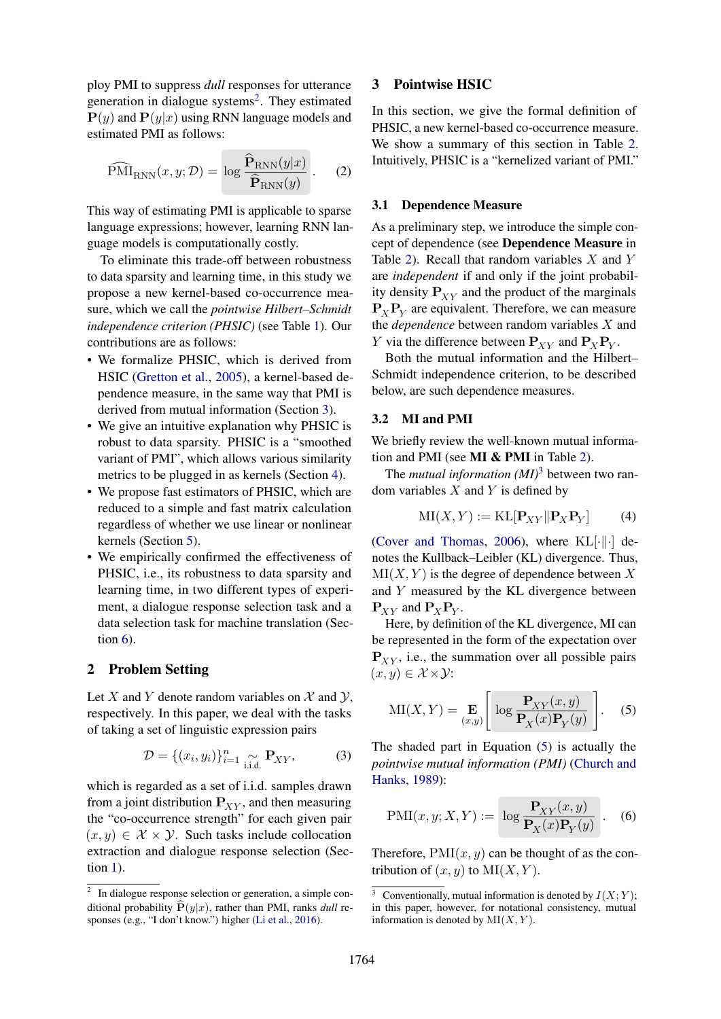ploy PMI to suppress *dull* responses for utterance generation in dialogue systems<sup>[2](#page-0-2)</sup>. They estimated  $P(y)$  and  $P(y|x)$  using RNN language models and estimated PMI as follows:

$$
\widehat{\text{PMI}}_{\text{RNN}}(x, y; \mathcal{D}) = \log \frac{\widehat{\mathbf{P}}_{\text{RNN}}(y|x)}{\widehat{\mathbf{P}}_{\text{RNN}}(y)}\,. \tag{2}
$$

This way of estimating PMI is applicable to sparse language expressions; however, learning RNN language models is computationally costly.

To eliminate this trade-off between robustness to data sparsity and learning time, in this study we propose a new kernel-based co-occurrence measure, which we call the *pointwise Hilbert–Schmidt independence criterion (PHSIC)* (see Table [1\)](#page-0-3). Our contributions are as follows:

- We formalize PHSIC, which is derived from HSIC [\(Gretton et al.,](#page-9-4) [2005\)](#page-9-4), a kernel-based dependence measure, in the same way that PMI is derived from mutual information (Section [3\)](#page-1-1).
- We give an intuitive explanation why PHSIC is robust to data sparsity. PHSIC is a "smoothed variant of PMI", which allows various similarity metrics to be plugged in as kernels (Section [4\)](#page-2-0).
- We propose fast estimators of PHSIC, which are reduced to a simple and fast matrix calculation regardless of whether we use linear or nonlinear kernels (Section [5\)](#page-3-1).
- We empirically confirmed the effectiveness of PHSIC, i.e., its robustness to data sparsity and learning time, in two different types of experiment, a dialogue response selection task and a data selection task for machine translation (Section  $6$ ).

## 2 Problem Setting

Let X and Y denote random variables on  $\mathcal X$  and  $\mathcal Y$ , respectively. In this paper, we deal with the tasks of taking a set of linguistic expression pairs

$$
\mathcal{D} = \{ (x_i, y_i) \}_{i=1}^n \underset{\text{i.i.d.}}{\sim} \mathbf{P}_{XY},
$$
 (3)

which is regarded as a set of i.i.d. samples drawn from a joint distribution  $P_{XY}$ , and then measuring the "co-occurrence strength" for each given pair  $(x, y) \in \mathcal{X} \times \mathcal{Y}$ . Such tasks include collocation extraction and dialogue response selection (Section [1\)](#page-0-1).

#### <span id="page-1-1"></span>3 Pointwise HSIC

In this section, we give the formal definition of PHSIC, a new kernel-based co-occurrence measure. We show a summary of this section in Table [2.](#page-2-1) Intuitively, PHSIC is a "kernelized variant of PMI."

#### <span id="page-1-0"></span>3.1 Dependence Measure

As a preliminary step, we introduce the simple concept of dependence (see Dependence Measure in Table [2\)](#page-2-1). Recall that random variables  $X$  and  $Y$ are *independent* if and only if the joint probability density  $P_{XY}$  and the product of the marginals  $P_X P_Y$  are equivalent. Therefore, we can measure the *dependence* between random variables X and Y via the difference between  $P_{XY}$  and  $P_XP_Y$ .

Both the mutual information and the Hilbert– Schmidt independence criterion, to be described below, are such dependence measures.

## <span id="page-1-4"></span>3.2 MI and PMI

We briefly review the well-known mutual information and PMI (see MI & PMI in Table [2\)](#page-2-1).

The *mutual information (MI)*[3](#page-0-2) between two random variables  $X$  and  $Y$  is defined by

<span id="page-1-3"></span>
$$
MI(X, Y) := KL[\mathbf{P}_{XY} || \mathbf{P}_X \mathbf{P}_Y] \tag{4}
$$

[\(Cover and Thomas,](#page-9-5) [2006\)](#page-9-5), where  $KL[\cdot||\cdot]$  denotes the Kullback–Leibler (KL) divergence. Thus,  $MI(X, Y)$  is the degree of dependence between X and Y measured by the KL divergence between  $\mathbf{P}_{XY}$  and  $\mathbf{P}_X \mathbf{P}_Y$ .

Here, by definition of the KL divergence, MI can be represented in the form of the expectation over  $P_{XY}$ , i.e., the summation over all possible pairs  $(x, y) \in \mathcal{X} \times \mathcal{Y}$ :

<span id="page-1-2"></span>
$$
\mathrm{MI}(X,Y) = \mathop{\mathbf{E}}\limits_{(x,y)} \left[ \log \frac{\mathbf{P}_{XY}(x,y)}{\mathbf{P}_X(x)\mathbf{P}_Y(y)} \right]. \tag{5}
$$

The shaded part in Equation [\(5\)](#page-1-2) is actually the *pointwise mutual information (PMI)* [\(Church and](#page-9-2) [Hanks,](#page-9-2) [1989\)](#page-9-2):

$$
PMI(x, y; X, Y) := \log \frac{\mathbf{P}_{XY}(x, y)}{\mathbf{P}_X(x)\mathbf{P}_Y(y)} .
$$
 (6)

Therefore,  $PMI(x, y)$  can be thought of as the contribution of  $(x, y)$  to  $\text{MI}(X, Y)$ .

 $2\;\;$  In dialogue response selection or generation, a simple conditional probability  $\widehat{\mathbf{P}}(y|x)$ , rather than PMI, ranks *dull* responses (e.g., "I don't know.") higher [\(Li et al.,](#page-9-3) [2016\)](#page-9-3).

<sup>&</sup>lt;sup>3</sup> Conventionally, mutual information is denoted by  $I(X; Y)$ ; in this paper, however, for notational consistency, mutual information is denoted by  $MI(X, Y)$ .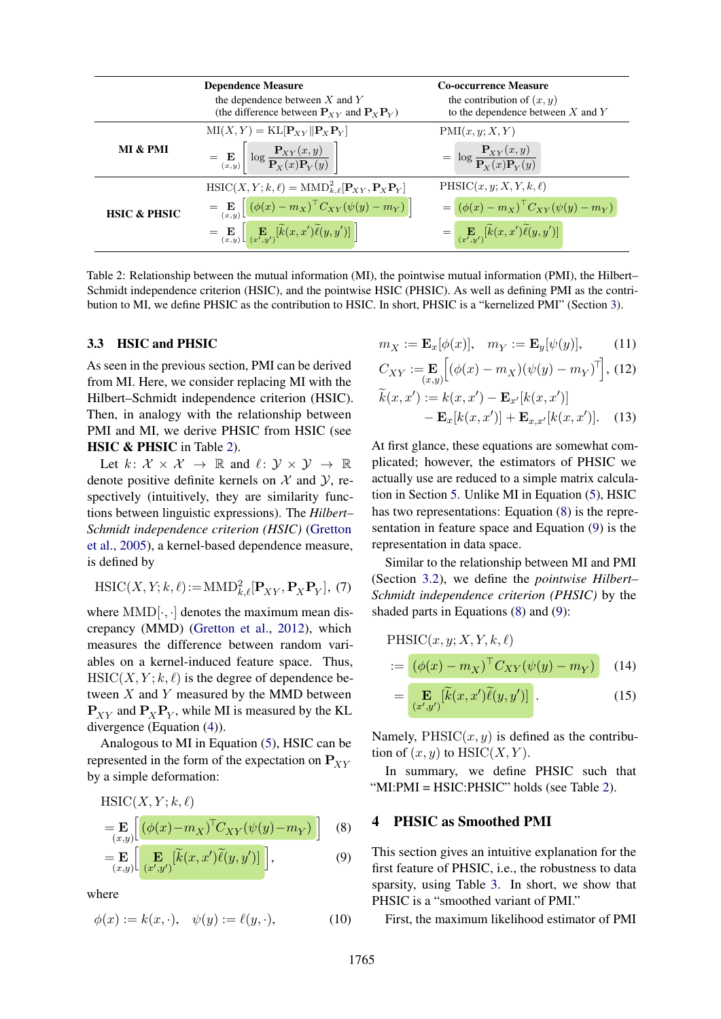|                         | <b>Dependence Measure</b><br>the dependence between $X$ and $Y$<br>(the difference between $P_{xy}$ and $P_xP_y$ )                           | <b>Co-occurrence Measure</b><br>the contribution of $(x, y)$<br>to the dependence between $X$ and $Y$ |
|-------------------------|----------------------------------------------------------------------------------------------------------------------------------------------|-------------------------------------------------------------------------------------------------------|
|                         | $MI(X, Y) = KL[P_{XY}    P_X P_Y]$                                                                                                           | PMI(x, y; X, Y)                                                                                       |
| MI & PMI                | $\mathbf{E}\left[\mathbf{E}\left(x,y\right)\right] \log \frac{\mathbf{P}_{XY}(x,y)}{\mathbf{P}_{X}(x)\mathbf{P}_{Y}(y)}$                     | $= \log \frac{\mathbf{P}_{XY}(x, y)}{\mathbf{P}_{Y}(x)\mathbf{P}_{Y}(y)}$                             |
| <b>HSIC &amp; PHSIC</b> | $\text{HSIC}(X, Y; k, \ell) = \text{MMD}_{k, \ell}^2[\mathbf{P}_{XY}, \mathbf{P}_X \mathbf{P}_Y]$                                            | $PHSIC(x, y; X, Y, k, \ell)$                                                                          |
|                         | $= \mathop{\mathbf{E}}_{(x,y)} \bigg[ \big( \phi(x) - m_X \big)^\top C_{XY} \big( \psi(y) - m_Y \big) \bigg]$                                | $= (\phi(x) - m_X)^{\top} C_{XY}(\psi(y) - m_Y)$                                                      |
|                         | $=\mathop{\mathbf{E}}\limits_{(x,y)}\left[\mathop{\mathbf{E}}\limits_{(x',y')}\left[\widetilde{k}(x,x')\widetilde{\ell}(y,y')\right]\right]$ | $=\Big[\mathop{\mathbf{E}}\limits_{(x',y')}[\widetilde{k}(x,x')\widetilde{\ell}(y,y')] \Big]$         |

<span id="page-2-1"></span>Table 2: Relationship between the mutual information (MI), the pointwise mutual information (PMI), the Hilbert– Schmidt independence criterion (HSIC), and the pointwise HSIC (PHSIC). As well as defining PMI as the contribution to MI, we define PHSIC as the contribution to HSIC. In short, PHSIC is a "kernelized PMI" (Section [3\)](#page-1-1).

### <span id="page-2-7"></span>3.3 HSIC and PHSIC

As seen in the previous section, PMI can be derived from MI. Here, we consider replacing MI with the Hilbert–Schmidt independence criterion (HSIC). Then, in analogy with the relationship between PMI and MI, we derive PHSIC from HSIC (see HSIC & PHSIC in Table [2\)](#page-2-1).

Let  $k: \mathcal{X} \times \mathcal{X} \rightarrow \mathbb{R}$  and  $\ell: \mathcal{Y} \times \mathcal{Y} \rightarrow \mathbb{R}$ denote positive definite kernels on  $X$  and  $Y$ , respectively (intuitively, they are similarity functions between linguistic expressions). The *Hilbert– Schmidt independence criterion (HSIC)* [\(Gretton](#page-9-4) [et al.,](#page-9-4) [2005\)](#page-9-4), a kernel-based dependence measure, is defined by

$$
\mathrm{HSIC}(X, Y; k, \ell) := \mathrm{MMD}_{k, \ell}^2[\mathbf{P}_{XY}, \mathbf{P}_X \mathbf{P}_Y], (7)
$$

where  $MMD[\cdot, \cdot]$  denotes the maximum mean discrepancy (MMD) [\(Gretton et al.,](#page-9-6) [2012\)](#page-9-6), which measures the difference between random variables on a kernel-induced feature space. Thus,  $HSLC(X, Y; k, \ell)$  is the degree of dependence between  $X$  and  $Y$  measured by the MMD between  $P_{XY}$  and  $P_XP_Y$ , while MI is measured by the KL divergence (Equation [\(4\)](#page-1-3)).

Analogous to MI in Equation [\(5\)](#page-1-2), HSIC can be represented in the form of the expectation on  $P_{XY}$ by a simple deformation:

$$
HSIC(X, Y; k, \ell)
$$
  
= 
$$
\mathbf{E}_{(x,y)} \left[ \left( \phi(x) - m_X \right)^{\top} C_{XY}(\psi(y) - m_Y) \right]
$$
 (8)

$$
=\mathbf{E}_{(x,y)}\left[\mathbf{E}_{(x',y')}[\widetilde{k}(x,x')\widetilde{\ell}(y,y')]\right],\tag{9}
$$

where

$$
\phi(x) := k(x, \cdot), \quad \psi(y) := \ell(y, \cdot), \tag{10}
$$

$$
m_X := \mathbf{E}_x[\phi(x)], \quad m_Y := \mathbf{E}_y[\psi(y)], \tag{11}
$$

<span id="page-2-5"></span>
$$
C_{XY} := \mathbf{E}_{(x,y)}[(\phi(x) - m_X)(\psi(y) - m_Y)^{\top}], (12)
$$

$$
\widetilde{k}(x, x') := k(x, x') - \mathbf{E}_{x'}[k(x, x')]
$$

$$
- \mathbf{E}_x[k(x, x')] + \mathbf{E}_{x,x'}[k(x, x')].
$$
 (13)

At first glance, these equations are somewhat complicated; however, the estimators of PHSIC we actually use are reduced to a simple matrix calculation in Section [5.](#page-3-1) Unlike MI in Equation [\(5\)](#page-1-2), HSIC has two representations: Equation [\(8\)](#page-2-2) is the representation in feature space and Equation [\(9\)](#page-2-3) is the representation in data space.

Similar to the relationship between MI and PMI (Section [3.2\)](#page-1-4), we define the *pointwise Hilbert– Schmidt independence criterion (PHSIC)* by the shaded parts in Equations [\(8\)](#page-2-2) and [\(9\)](#page-2-3):

$$
\text{PHSIC}(x, y; X, Y, k, \ell)
$$

$$
:= \left[ \left( \phi(x) - m_X \right)^{\top} C_{XY}(\psi(y) - m_Y) \right] \tag{14}
$$

<span id="page-2-6"></span><span id="page-2-4"></span>
$$
= \mathbf{E}_{(x',y')}[\widetilde{k}(x,x')\widetilde{\ell}(y,y')] \tag{15}
$$

Namely,  $PHSIC(x, y)$  is defined as the contribution of  $(x, y)$  to HSIC $(X, Y)$ .

In summary, we define PHSIC such that "MI:PMI = HSIC:PHSIC" holds (see Table [2\)](#page-2-1).

#### <span id="page-2-2"></span><span id="page-2-0"></span>4 PHSIC as Smoothed PMI

<span id="page-2-3"></span>This section gives an intuitive explanation for the first feature of PHSIC, i.e., the robustness to data sparsity, using Table [3.](#page-3-2) In short, we show that PHSIC is a "smoothed variant of PMI."

First, the maximum likelihood estimator of PMI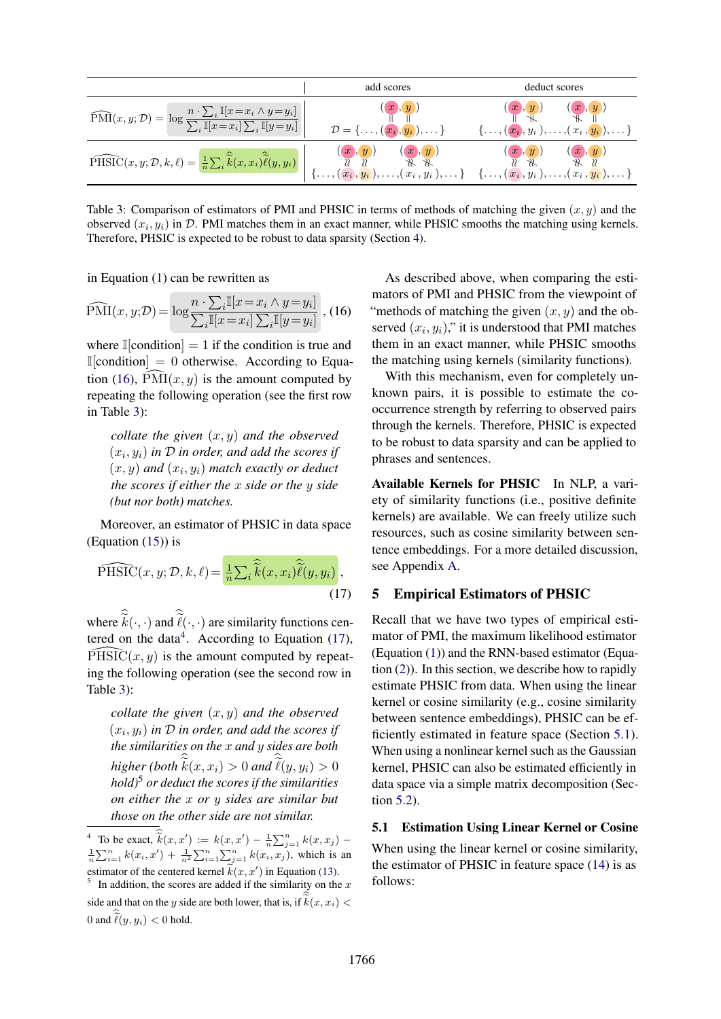|                                                                                                                                                                                                                                                                                                                                                                                                                                                            | add scores                                                                                                                      | deduct scores                                                            |  |  |
|------------------------------------------------------------------------------------------------------------------------------------------------------------------------------------------------------------------------------------------------------------------------------------------------------------------------------------------------------------------------------------------------------------------------------------------------------------|---------------------------------------------------------------------------------------------------------------------------------|--------------------------------------------------------------------------|--|--|
| $\widehat{\mathrm{PMI}}(x, y; \mathcal{D}) = \log \frac{n \cdot \sum_i \mathbb{I}[x = x_i \wedge y = y_i]}{\sum_i \mathbb{I}[x = x_i] \sum_i \mathbb{I}[y = y_i]}$                                                                                                                                                                                                                                                                                         | (x,y)<br>$\mathcal{D} = \{\ldots, (\stackrel{\cdot\cdot}{\boldsymbol{x_i}}, \stackrel{\cdot\cdot}{\boldsymbol{y_i}}), \ldots\}$ | (x, y)<br>(x, y)<br>$\{\ldots, (x_i, y_i\),ldld, (x_i\,, y_i), \ldots\}$ |  |  |
| $\widehat{\mathrm{PHSIC}}(x,y;\mathcal{D},k,\ell) = \frac{1}{n}\sum_i \hat{\vec{k}}(x,x_i) \overline{\hat{\ell}}(y,y_i) \left  \begin{array}{cccc} (x,y) & (x,y) & (x,y) & (x,y) \ \mathcal{U} & \mathcal{U} & \mathcal{U} & \mathcal{U} & \mathcal{U} \\ \mathcal{U} & \mathcal{U} & \mathcal{U} & \mathcal{U} & \mathcal{U} & \mathcal{U} & \mathcal{U} \\ \{\ldots,(x_i,y_i),\ldots,(x_i,y_i),\ldots\} & \{\ldots,(x_i,y_i),\ldots,(x_i,y_i),\ldots,(x$ |                                                                                                                                 |                                                                          |  |  |

<span id="page-3-2"></span>Table 3: Comparison of estimators of PMI and PHSIC in terms of methods of matching the given  $(x, y)$  and the observed  $(x_i, y_i)$  in D. PMI matches them in an exact manner, while PHSIC smooths the matching using kernels. Therefore, PHSIC is expected to be robust to data sparsity (Section [4\)](#page-2-0).

in Equation [\(1\)](#page-0-0) can be rewritten as

$$
\widehat{\text{PMI}}(x, y; \mathcal{D}) = \log \frac{n \cdot \sum_{i} \mathbb{I}[x = x_i \land y = y_i]}{\sum_{i} \mathbb{I}[x = x_i] \sum_{i} \mathbb{I}[y = y_i]}, (16)
$$

where  $\mathbb{I}[\text{condition}] = 1$  if the condition is true and  $\mathbb{I}[\text{condition}] = 0$  otherwise. According to Equa-tion [\(16\)](#page-3-3),  $\widehat{\text{PMI}}(x, y)$  is the amount computed by repeating the following operation (see the first row in Table [3\)](#page-3-2):

*collate the given* (x, y) *and the observed*  $(x_i, y_i)$  in  $D$  in order, and add the scores if  $(x, y)$  and  $(x_i, y_i)$  match exactly or deduct *the scores if either the* x *side or the* y *side (but nor both) matches.*

Moreover, an estimator of PHSIC in data space (Equation  $(15)$ ) is

$$
\widehat{\text{PHSIC}}(x, y; \mathcal{D}, k, \ell) = \frac{1}{n} \sum_{i} \widehat{k}(x, x_i) \widehat{\tilde{\ell}}(y, y_i),
$$
\n(17)

where  $k(\cdot, \cdot)$  and  $\ell(\cdot, \cdot)$  are similarity functions cen-tered on the data<sup>[4](#page-0-2)</sup>. According to Equation  $(17)$ ,  $\widehat{PHSIC}(x, y)$  is the amount computed by repeating the following operation (see the second row in Table [3\)](#page-3-2):

*collate the given* (x, y) *and the observed*  $(x_i, y_i)$  in  $D$  in order, and add the scores if *the similarities on the* x *and* y *sides are both*  $higher (both k(x, x_i) > 0$  and  $\ell(y, y_i) > 0$ *hold)*[5](#page-0-2) *or deduct the scores if the similarities on either the* x *or* y *sides are similar but those on the other side are not similar.*

<span id="page-3-3"></span>As described above, when comparing the estimators of PMI and PHSIC from the viewpoint of "methods of matching the given  $(x, y)$  and the observed  $(x_i, y_i)$ ," it is understood that PMI matches them in an exact manner, while PHSIC smooths the matching using kernels (similarity functions).

With this mechanism, even for completely unknown pairs, it is possible to estimate the cooccurrence strength by referring to observed pairs through the kernels. Therefore, PHSIC is expected to be robust to data sparsity and can be applied to phrases and sentences.

Available Kernels for PHSIC In NLP, a variety of similarity functions (i.e., positive definite kernels) are available. We can freely utilize such resources, such as cosine similarity between sentence embeddings. For a more detailed discussion, see Appendix [A.](#page-11-0)

### <span id="page-3-4"></span><span id="page-3-1"></span>5 Empirical Estimators of PHSIC

Recall that we have two types of empirical estimator of PMI, the maximum likelihood estimator (Equation [\(1\)](#page-0-0)) and the RNN-based estimator (Equation  $(2)$ ). In this section, we describe how to rapidly estimate PHSIC from data. When using the linear kernel or cosine similarity (e.g., cosine similarity between sentence embeddings), PHSIC can be efficiently estimated in feature space (Section [5.1\)](#page-3-0). When using a nonlinear kernel such as the Gaussian kernel, PHSIC can also be estimated efficiently in data space via a simple matrix decomposition (Section [5.2\)](#page-4-0).

#### <span id="page-3-0"></span>5.1 Estimation Using Linear Kernel or Cosine

When using the linear kernel or cosine similarity, the estimator of PHSIC in feature space [\(14\)](#page-2-6) is as follows:

<sup>&</sup>lt;sup>4</sup> To be exact,  $\widetilde{k}(x, x') := k(x, x') - \frac{1}{n} \sum_{j=1}^{n} k(x, x_j) - \frac{1}{n} \sum_{j=1}^{n} k(x, x_j)$  $\frac{1}{n}\sum_{i=1}^{n}k(x_i, x') + \frac{1}{n^2}\sum_{i=1}^{n}\sum_{j=1}^{n}k(x_i, x_j)$ , which is an estimator of the centered kernel  $\widetilde{k}(x, x')$  in Equation [\(13\)](#page-2-5).

<sup>&</sup>lt;sup>5</sup> In addition, the scores are added if the similarity on the  $x$ side and that on the y side are both lower, that is, if  $\widetilde{k}(x, x_i)$  < 0 and  $\ell(y, y_i) < 0$  hold.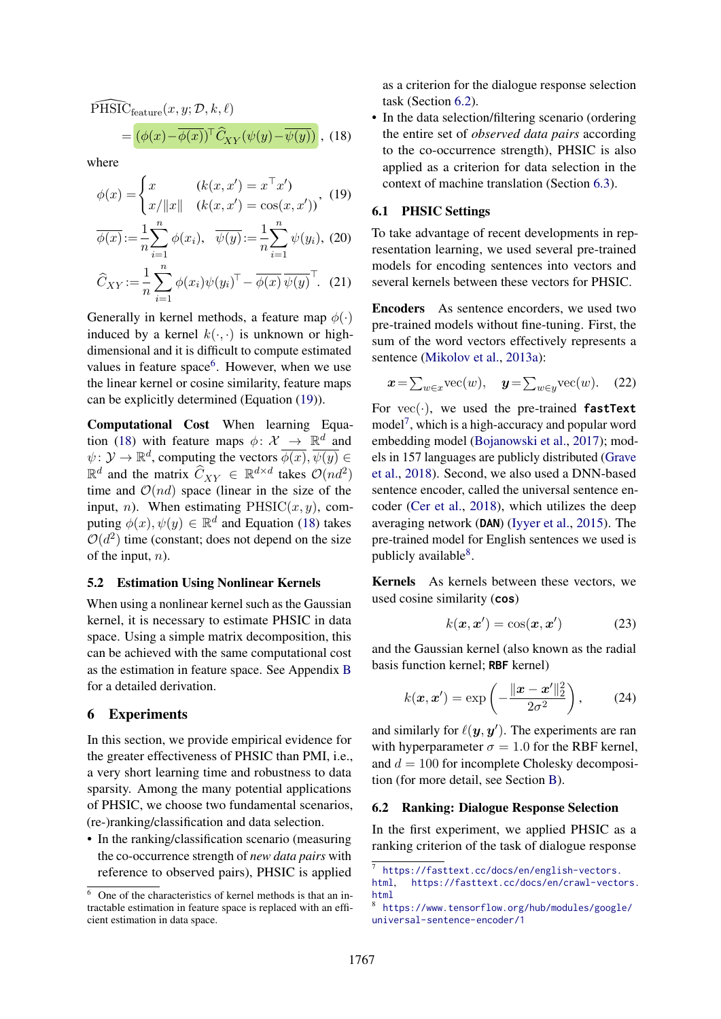$\widehat{\text{PHSIC}}_{\text{feature}}(x, y; \mathcal{D}, k, \ell)$ 

$$
= (\phi(x) - \overline{\phi(x)})^{\top} \widehat{C}_{XY}(\psi(y) - \overline{\psi(y)}) , \quad (18)
$$

where

$$
\phi(x) = \begin{cases} x & (k(x, x') = x^{\top} x') \\ x / \|x\| & (k(x, x') = \cos(x, x')) \end{cases}
$$
 (19)

$$
\overline{\phi(x)} := \frac{1}{n} \sum_{i=1}^{n} \phi(x_i), \quad \overline{\psi(y)} := \frac{1}{n} \sum_{i=1}^{n} \psi(y_i), \quad (20)
$$

$$
\widehat{C}_{XY} := \frac{1}{n} \sum_{i=1}^{n} \phi(x_i) \psi(y_i)^\top - \overline{\phi(x)} \overline{\psi(y)}^\top. \quad (21)
$$

Generally in kernel methods, a feature map  $\phi(\cdot)$ induced by a kernel  $k(\cdot, \cdot)$  is unknown or highdimensional and it is difficult to compute estimated values in feature space<sup>[6](#page-0-2)</sup>. However, when we use the linear kernel or cosine similarity, feature maps can be explicitly determined (Equation [\(19\)](#page-4-2)).

Computational Cost When learning Equa-tion [\(18\)](#page-4-3) with feature maps  $\phi: \mathcal{X} \rightarrow \mathbb{R}^d$  and  $\psi \colon \mathcal{Y} \to \mathbb{R}^d$ , computing the vectors  $\overline{\phi(x)}$ ,  $\overline{\psi(y)} \in$  $\mathbb{R}^d$  and the matrix  $\widehat{C}_{XY} \in \mathbb{R}^{d \times d}$  takes  $\mathcal{O}(nd^2)$ time and  $\mathcal{O}(nd)$  space (linear in the size of the input, *n*). When estimating  $PHSIC(x, y)$ , computing  $\phi(x), \psi(y) \in \mathbb{R}^d$  and Equation [\(18\)](#page-4-3) takes  $O(d^2)$  time (constant; does not depend on the size of the input,  $n$ ).

## <span id="page-4-0"></span>5.2 Estimation Using Nonlinear Kernels

When using a nonlinear kernel such as the Gaussian kernel, it is necessary to estimate PHSIC in data space. Using a simple matrix decomposition, this can be achieved with the same computational cost as the estimation in feature space. See Appendix [B](#page-11-1) for a detailed derivation.

## <span id="page-4-1"></span>6 Experiments

In this section, we provide empirical evidence for the greater effectiveness of PHSIC than PMI, i.e., a very short learning time and robustness to data sparsity. Among the many potential applications of PHSIC, we choose two fundamental scenarios, (re-)ranking/classification and data selection.

• In the ranking/classification scenario (measuring the co-occurrence strength of *new data pairs* with reference to observed pairs), PHSIC is applied as a criterion for the dialogue response selection task (Section [6.2\)](#page-4-4).

<span id="page-4-3"></span>• In the data selection/filtering scenario (ordering the entire set of *observed data pairs* according to the co-occurrence strength), PHSIC is also applied as a criterion for data selection in the context of machine translation (Section [6.3\)](#page-6-0).

## <span id="page-4-2"></span>6.1 PHSIC Settings

To take advantage of recent developments in representation learning, we used several pre-trained models for encoding sentences into vectors and several kernels between these vectors for PHSIC.

Encoders As sentence encorders, we used two pre-trained models without fine-tuning. First, the sum of the word vectors effectively represents a sentence [\(Mikolov et al.,](#page-9-7) [2013a\)](#page-9-7):

$$
\mathbf{x} = \sum_{w \in x} \text{vec}(w), \quad \mathbf{y} = \sum_{w \in y} \text{vec}(w). \quad (22)
$$

For  $vec(\cdot)$ , we used the pre-trained **fastText** model[7](#page-0-2) , which is a high-accuracy and popular word embedding model [\(Bojanowski et al.,](#page-9-8) [2017\)](#page-9-8); models in 157 languages are publicly distributed [\(Grave](#page-9-9) [et al.,](#page-9-9) [2018\)](#page-9-9). Second, we also used a DNN-based sentence encoder, called the universal sentence encoder [\(Cer et al.,](#page-9-10) [2018\)](#page-9-10), which utilizes the deep averaging network (**DAN**) [\(Iyyer et al.,](#page-9-11) [2015\)](#page-9-11). The pre-trained model for English sentences we used is publicly available<sup>[8](#page-0-2)</sup>.

Kernels As kernels between these vectors, we used cosine similarity (**cos**)

$$
k(\boldsymbol{x}, \boldsymbol{x}') = \cos(\boldsymbol{x}, \boldsymbol{x}') \tag{23}
$$

and the Gaussian kernel (also known as the radial basis function kernel; **RBF** kernel)

$$
k(\boldsymbol{x}, \boldsymbol{x}') = \exp\left(-\frac{\|\boldsymbol{x} - \boldsymbol{x}'\|_2^2}{2\sigma^2}\right),\qquad(24)
$$

and similarly for  $\ell(\mathbf{y}, \mathbf{y}')$ . The experiments are ran with hyperparameter  $\sigma = 1.0$  for the RBF kernel, and  $d = 100$  for incomplete Cholesky decomposition (for more detail, see Section [B\)](#page-11-1).

#### <span id="page-4-4"></span>6.2 Ranking: Dialogue Response Selection

In the first experiment, we applied PHSIC as a ranking criterion of the task of dialogue response

<sup>6</sup> One of the characteristics of kernel methods is that an intractable estimation in feature space is replaced with an efficient estimation in data space.

<sup>7</sup> [https://fasttext.cc/docs/en/english-vectors.](https://fasttext.cc/docs/en/english-vectors.html) [html](https://fasttext.cc/docs/en/english-vectors.html), [https://fasttext.cc/docs/en/crawl-vectors.](https://fasttext.cc/docs/en/crawl-vectors.html) [html](https://fasttext.cc/docs/en/crawl-vectors.html)

<sup>8</sup> [https://www.tensorflow.org/hub/modules/google/](https://www.tensorflow.org/hub/modules/google/universal-sentence-encoder/1) [universal-sentence-encoder/1](https://www.tensorflow.org/hub/modules/google/universal-sentence-encoder/1)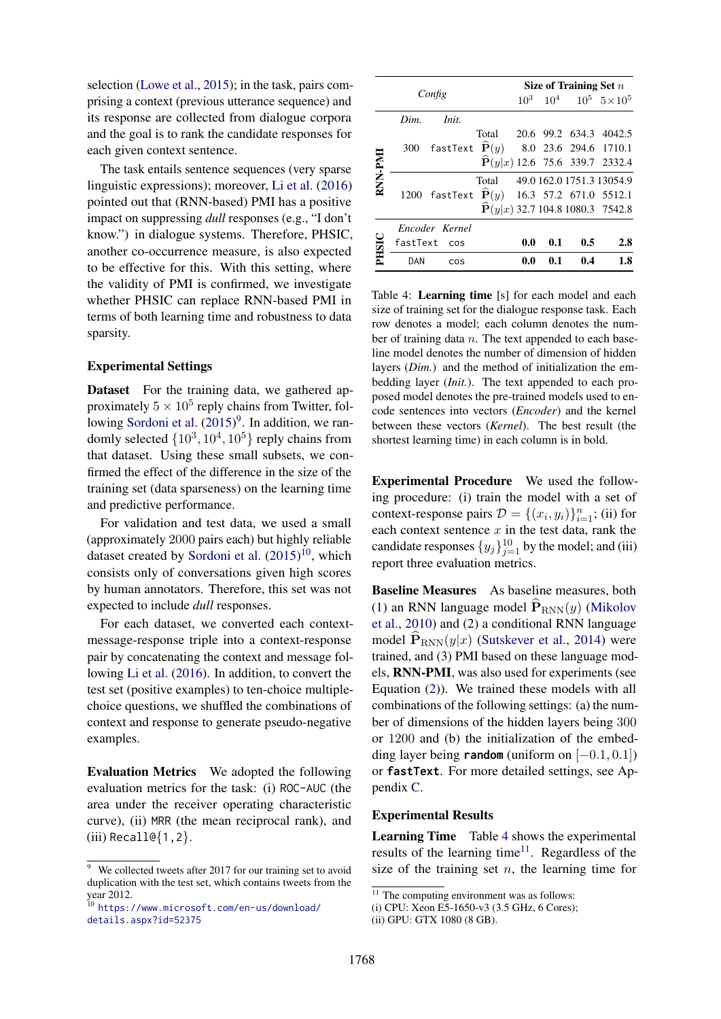selection [\(Lowe et al.,](#page-9-1) [2015\)](#page-9-1); in the task, pairs comprising a context (previous utterance sequence) and its response are collected from dialogue corpora and the goal is to rank the candidate responses for each given context sentence.

The task entails sentence sequences (very sparse linguistic expressions); moreover, [Li et al.](#page-9-3) [\(2016\)](#page-9-3) pointed out that (RNN-based) PMI has a positive impact on suppressing *dull* responses (e.g., "I don't know.") in dialogue systems. Therefore, PHSIC, another co-occurrence measure, is also expected to be effective for this. With this setting, where the validity of PMI is confirmed, we investigate whether PHSIC can replace RNN-based PMI in terms of both learning time and robustness to data sparsity.

## Experimental Settings

Dataset For the training data, we gathered approximately  $5 \times 10^5$  reply chains from Twitter, fol-lowing [Sordoni et al.](#page-10-0)  $(2015)^9$  $(2015)^9$  $(2015)^9$ . In addition, we randomly selected  $\{10^3, 10^4, 10^5\}$  reply chains from that dataset. Using these small subsets, we confirmed the effect of the difference in the size of the training set (data sparseness) on the learning time and predictive performance.

For validation and test data, we used a small (approximately 2000 pairs each) but highly reliable dataset created by [Sordoni et al.](#page-10-0) [\(2015\)](#page-10-0)<sup>[10](#page-0-2)</sup>, which consists only of conversations given high scores by human annotators. Therefore, this set was not expected to include *dull* responses.

For each dataset, we converted each contextmessage-response triple into a context-response pair by concatenating the context and message following [Li et al.](#page-9-3) [\(2016\)](#page-9-3). In addition, to convert the test set (positive examples) to ten-choice multiplechoice questions, we shuffled the combinations of context and response to generate pseudo-negative examples.

Evaluation Metrics We adopted the following evaluation metrics for the task: (i) ROC-AUC (the area under the receiver operating characteristic curve), (ii) MRR (the mean reciprocal rank), and (iii)  $Recall@{1,2}.$ 

|         |      |                                                                |                                 | Size of Training Set $n$ |     |     |                                                    |  |
|---------|------|----------------------------------------------------------------|---------------------------------|--------------------------|-----|-----|----------------------------------------------------|--|
|         |      | Config                                                         |                                 |                          |     |     | $10^3$ $10^4$ $10^5$ $5 \times 10^5$               |  |
|         | Dim. | Init.                                                          |                                 |                          |     |     |                                                    |  |
|         |      |                                                                | Total 20.6 99.2 634.3 4042.5    |                          |     |     |                                                    |  |
|         | 300  | fastText $\widehat{\mathbf{P}}(y)$ 8.0 23.6 294.6 1710.1       |                                 |                          |     |     |                                                    |  |
| RNN-PMI |      |                                                                |                                 |                          |     |     | $\widehat{\mathbf{P}}(y x)$ 12.6 75.6 339.7 2332.4 |  |
|         |      |                                                                | Total 49.0 162.0 1751.3 13054.9 |                          |     |     |                                                    |  |
|         |      | 1200 fastText $\widehat{\mathbf{P}}(y)$ 16.3 57.2 671.0 5512.1 |                                 |                          |     |     |                                                    |  |
|         |      |                                                                |                                 |                          |     |     | $\mathbf{P}(y x)$ 32.7 104.8 1080.3 7542.8         |  |
|         |      | Encoder Kernel                                                 |                                 |                          |     |     |                                                    |  |
| PHSIC   |      | fastText cos                                                   |                                 | 0.0                      | 0.1 | 0.5 | 2.8                                                |  |
|         | DAN  | COS                                                            |                                 | 0.0                      | 0.1 | 0.4 | 1.8                                                |  |

<span id="page-5-0"></span>Table 4: Learning time [s] for each model and each size of training set for the dialogue response task. Each row denotes a model; each column denotes the number of training data  $n$ . The text appended to each baseline model denotes the number of dimension of hidden layers (*Dim.*) and the method of initialization the embedding layer (*Init.*). The text appended to each proposed model denotes the pre-trained models used to encode sentences into vectors (*Encoder*) and the kernel between these vectors (*Kernel*). The best result (the shortest learning time) in each column is in bold.

Experimental Procedure We used the following procedure: (i) train the model with a set of context-response pairs  $\mathcal{D} = \{(x_i, y_i)\}_{i=1}^n$ ; (ii) for each context sentence  $x$  in the test data, rank the candidate responses  $\{y_j\}_{j=1}^{10}$  by the model; and (iii) report three evaluation metrics.

Baseline Measures As baseline measures, both (1) an RNN language model  $\widehat{P}_{RNN}(y)$  [\(Mikolov](#page-10-1) [et al.,](#page-10-1) [2010\)](#page-10-1) and (2) a conditional RNN language model  $\hat{\mathbf{P}}_{RNN}(y|x)$  [\(Sutskever et al.,](#page-10-2) [2014\)](#page-10-2) were trained, and (3) PMI based on these language models, RNN-PMI, was also used for experiments (see Equation [\(2\)](#page-1-0)). We trained these models with all combinations of the following settings: (a) the number of dimensions of the hidden layers being 300 or 1200 and (b) the initialization of the embedding layer being **random** (uniform on [−0.1, 0.1]) or **fastText**. For more detailed settings, see Appendix [C.](#page-12-0)

### Experimental Results

<span id="page-5-1"></span>Learning Time Table [4](#page-5-0) shows the experimental results of the learning time $11$ . Regardless of the size of the training set  $n$ , the learning time for

 $\frac{9}{9}$  We collected tweets after 2017 for our training set to avoid duplication with the test set, which contains tweets from the year 2012.

<sup>10</sup> [https://www.microsoft.com/en-us/download/](https://www.microsoft.com/en-us/download/details.aspx?id=52375) [details.aspx?id=52375](https://www.microsoft.com/en-us/download/details.aspx?id=52375)

 $\overline{11}$  The computing environment was as follows:

<sup>(</sup>i) CPU: Xeon E5-1650-v3 (3.5 GHz, 6 Cores);

<sup>(</sup>ii) GPU: GTX 1080 (8 GB).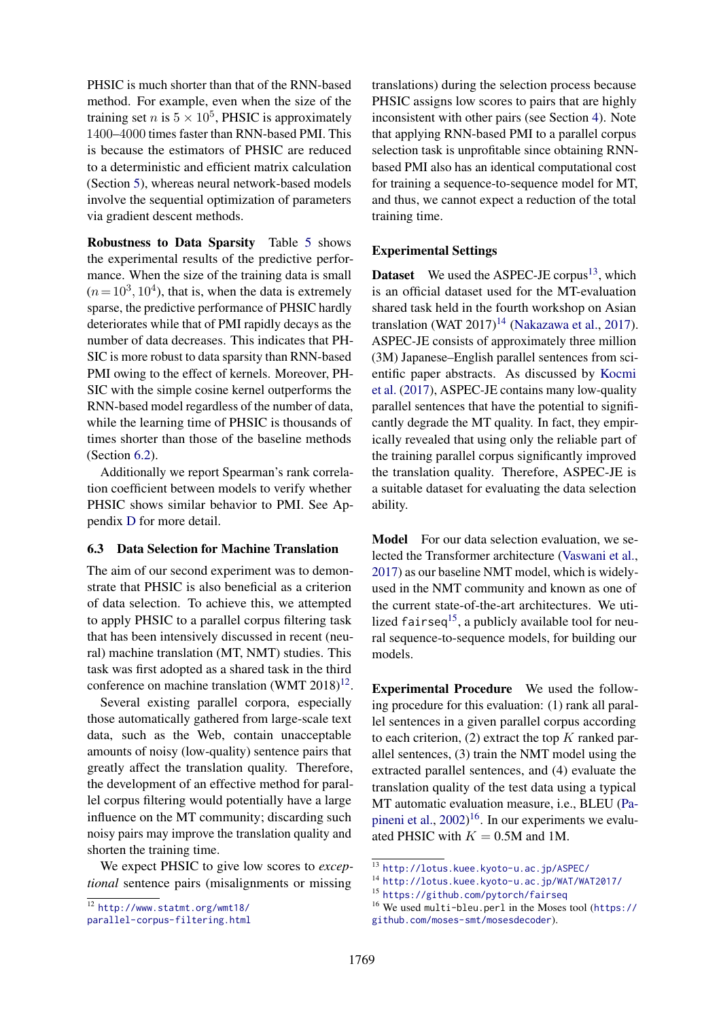PHSIC is much shorter than that of the RNN-based method. For example, even when the size of the training set *n* is  $5 \times 10^5$ , PHSIC is approximately 1400–4000 times faster than RNN-based PMI. This is because the estimators of PHSIC are reduced to a deterministic and efficient matrix calculation (Section [5\)](#page-3-1), whereas neural network-based models involve the sequential optimization of parameters via gradient descent methods.

Robustness to Data Sparsity Table [5](#page-7-0) shows the experimental results of the predictive performance. When the size of the training data is small  $(n = 10<sup>3</sup>, 10<sup>4</sup>)$ , that is, when the data is extremely sparse, the predictive performance of PHSIC hardly deteriorates while that of PMI rapidly decays as the number of data decreases. This indicates that PH-SIC is more robust to data sparsity than RNN-based PMI owing to the effect of kernels. Moreover, PH-SIC with the simple cosine kernel outperforms the RNN-based model regardless of the number of data, while the learning time of PHSIC is thousands of times shorter than those of the baseline methods (Section [6.2\)](#page-5-1).

Additionally we report Spearman's rank correlation coefficient between models to verify whether PHSIC shows similar behavior to PMI. See Appendix [D](#page-12-1) for more detail.

#### <span id="page-6-0"></span>6.3 Data Selection for Machine Translation

The aim of our second experiment was to demonstrate that PHSIC is also beneficial as a criterion of data selection. To achieve this, we attempted to apply PHSIC to a parallel corpus filtering task that has been intensively discussed in recent (neural) machine translation (MT, NMT) studies. This task was first adopted as a shared task in the third conference on machine translation (WMT  $2018$ )<sup>[12](#page-0-2)</sup>.

Several existing parallel corpora, especially those automatically gathered from large-scale text data, such as the Web, contain unacceptable amounts of noisy (low-quality) sentence pairs that greatly affect the translation quality. Therefore, the development of an effective method for parallel corpus filtering would potentially have a large influence on the MT community; discarding such noisy pairs may improve the translation quality and shorten the training time.

We expect PHSIC to give low scores to *exceptional* sentence pairs (misalignments or missing translations) during the selection process because PHSIC assigns low scores to pairs that are highly inconsistent with other pairs (see Section [4\)](#page-2-0). Note that applying RNN-based PMI to a parallel corpus selection task is unprofitable since obtaining RNNbased PMI also has an identical computational cost for training a sequence-to-sequence model for MT, and thus, we cannot expect a reduction of the total training time.

## Experimental Settings

**Dataset** We used the ASPEC-JE corpus<sup>[13](#page-0-2)</sup>, which is an official dataset used for the MT-evaluation shared task held in the fourth workshop on Asian translation (WAT  $2017$ <sup>[14](#page-0-2)</sup> [\(Nakazawa et al.,](#page-10-3) [2017\)](#page-10-3). ASPEC-JE consists of approximately three million (3M) Japanese–English parallel sentences from scientific paper abstracts. As discussed by [Kocmi](#page-9-12) [et al.](#page-9-12) [\(2017\)](#page-9-12), ASPEC-JE contains many low-quality parallel sentences that have the potential to significantly degrade the MT quality. In fact, they empirically revealed that using only the reliable part of the training parallel corpus significantly improved the translation quality. Therefore, ASPEC-JE is a suitable dataset for evaluating the data selection ability.

Model For our data selection evaluation, we selected the Transformer architecture [\(Vaswani et al.,](#page-10-4) [2017\)](#page-10-4) as our baseline NMT model, which is widelyused in the NMT community and known as one of the current state-of-the-art architectures. We uti-lized fairseq<sup>[15](#page-0-2)</sup>, a publicly available tool for neural sequence-to-sequence models, for building our models.

Experimental Procedure We used the following procedure for this evaluation: (1) rank all parallel sentences in a given parallel corpus according to each criterion,  $(2)$  extract the top K ranked parallel sentences, (3) train the NMT model using the extracted parallel sentences, and (4) evaluate the translation quality of the test data using a typical MT automatic evaluation measure, i.e., BLEU [\(Pa](#page-10-5)[pineni et al.,](#page-10-5) [2002\)](#page-10-5)<sup>[16](#page-0-2)</sup>. In our experiments we evaluated PHSIC with  $K = 0.5M$  and 1M.

<sup>12</sup> [http://www.statmt.org/wmt18/](http://www.statmt.org/wmt18/parallel-corpus-filtering.html)

[parallel-corpus-filtering.html](http://www.statmt.org/wmt18/parallel-corpus-filtering.html)

<sup>13</sup> <http://lotus.kuee.kyoto-u.ac.jp/ASPEC/>

<sup>14</sup> <http://lotus.kuee.kyoto-u.ac.jp/WAT/WAT2017/>

<sup>15</sup> <https://github.com/pytorch/fairseq>

<sup>16</sup> We used multi-bleu.perl in the Moses tool ([https://](https://github.com/moses-smt/mosesdecoder) [github.com/moses-smt/mosesdecoder](https://github.com/moses-smt/mosesdecoder)).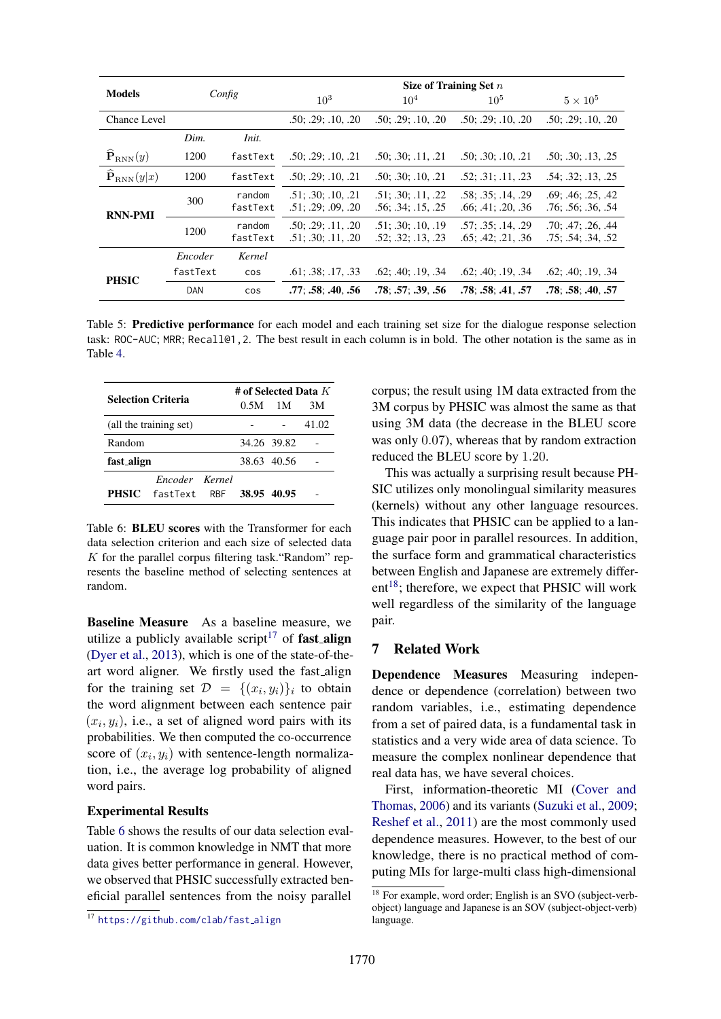|                                            |          |                    | Size of Training Set $n$                 |                                                     |                                                     |                                          |  |
|--------------------------------------------|----------|--------------------|------------------------------------------|-----------------------------------------------------|-----------------------------------------------------|------------------------------------------|--|
| <b>Models</b>                              |          | Config             | 10 <sup>3</sup>                          | $10^{4}$                                            | $10^{5}$                                            | $5 \times 10^5$                          |  |
| <b>Chance Level</b>                        |          |                    | .50; .29; .10, .20                       | .50; .29; .10, .20                                  | .50; .29; .10, .20                                  | .50; .29; .10, .20                       |  |
|                                            | Dim.     | Init.              |                                          |                                                     |                                                     |                                          |  |
| $\widehat{\textbf{P}}_{\text{RNN}}(y)$     | 1200     | fastText           | .50; .29; .10, .21                       | .50; .30; .11, .21                                  | .50; .30; .10, .21                                  | .50; .30; .13, .25                       |  |
| $\widehat{\mathbf{P}}_{\mathrm{RNN}}(y x)$ | 1200     | fastText           | .50: .29: .10. .21                       | .50: .30: .10. .21                                  | .52; .31; .11, .23                                  | $.54$ ; $.32$ ; $.13$ , $.25$            |  |
| <b>RNN-PMI</b>                             | 300      | random<br>fastText | .51: .30: .10. .21<br>.51: .29: .09. .20 | .51; .30; .11, .22<br>$.56$ ; $.34$ ; $.15$ , $.25$ | .58: .35: .14. .29<br>$.66$ ; $.41$ ; $.20$ , $.36$ | .69: .46: .25. .42<br>.76: .56: .36. .54 |  |
|                                            | 1200     | random<br>fastText | .50: .29: .11. .20<br>.51; .30; .11, .20 | .51: .30: .10. .19<br>.52; .32; .13, .23            | .57: .35: .14. .29<br>.65: .42: .21. .36            | .70: .47: .26. .44<br>.75: .54: .34. .52 |  |
|                                            | Encoder  | Kernel             |                                          |                                                     |                                                     |                                          |  |
| <b>PHSIC</b>                               | fastText | <b>COS</b>         | .61; .38; .17, .33                       | $.62$ ; $.40$ ; $.19$ , $.34$                       | $.62$ ; $.40$ ; $.19$ , $.34$                       | $.62$ ; $.40$ ; $.19$ , $.34$            |  |
|                                            | DAN      | <b>COS</b>         | .77: .58: .40. .56                       | .78: .57: .39. .56                                  | .78: .58: .41. .57                                  | .78: .58: .40. .57                       |  |

<span id="page-7-0"></span>Table 5: Predictive performance for each model and each training set size for the dialogue response selection task: ROC-AUC; MRR; Recall@1,2. The best result in each column is in bold. The other notation is the same as in Table [4.](#page-5-0)

| <b>Selection Criteria</b> |                        |  | # of Selected Data $K$ |             |       |  |
|---------------------------|------------------------|--|------------------------|-------------|-------|--|
|                           |                        |  | $0.5M$ 1M              |             | 3M    |  |
|                           | (all the training set) |  |                        |             | 41.02 |  |
| Random                    |                        |  |                        | 34.26 39.82 |       |  |
| fast_align                |                        |  |                        | 38.63 40.56 |       |  |
|                           | Encoder Kernel         |  |                        |             |       |  |
|                           | <b>PHSIC</b> fastText  |  | RBF 38.95 40.95        |             |       |  |

<span id="page-7-1"></span>Table 6: BLEU scores with the Transformer for each data selection criterion and each size of selected data  $K$  for the parallel corpus filtering task. "Random" represents the baseline method of selecting sentences at random.

Baseline Measure As a baseline measure, we utilize a publicly available script $17$  of fast align [\(Dyer et al.,](#page-9-13) [2013\)](#page-9-13), which is one of the state-of-theart word aligner. We firstly used the fast\_align for the training set  $\mathcal{D} = \{(x_i, y_i)\}_i$  to obtain the word alignment between each sentence pair  $(x_i, y_i)$ , i.e., a set of aligned word pairs with its probabilities. We then computed the co-occurrence score of  $(x_i, y_i)$  with sentence-length normalization, i.e., the average log probability of aligned word pairs.

#### Experimental Results

Table [6](#page-7-1) shows the results of our data selection evaluation. It is common knowledge in NMT that more data gives better performance in general. However, we observed that PHSIC successfully extracted beneficial parallel sentences from the noisy parallel

corpus; the result using 1M data extracted from the 3M corpus by PHSIC was almost the same as that using 3M data (the decrease in the BLEU score was only 0.07), whereas that by random extraction reduced the BLEU score by 1.20.

This was actually a surprising result because PH-SIC utilizes only monolingual similarity measures (kernels) without any other language resources. This indicates that PHSIC can be applied to a language pair poor in parallel resources. In addition, the surface form and grammatical characteristics between English and Japanese are extremely differ- $ent<sup>18</sup>$  $ent<sup>18</sup>$  $ent<sup>18</sup>$ ; therefore, we expect that PHSIC will work well regardless of the similarity of the language pair.

#### 7 Related Work

Dependence Measures Measuring independence or dependence (correlation) between two random variables, i.e., estimating dependence from a set of paired data, is a fundamental task in statistics and a very wide area of data science. To measure the complex nonlinear dependence that real data has, we have several choices.

First, information-theoretic MI [\(Cover and](#page-9-5) [Thomas,](#page-9-5) [2006\)](#page-9-5) and its variants [\(Suzuki et al.,](#page-10-6) [2009;](#page-10-6) [Reshef et al.,](#page-10-7) [2011\)](#page-10-7) are the most commonly used dependence measures. However, to the best of our knowledge, there is no practical method of computing MIs for large-multi class high-dimensional

<sup>&</sup>lt;sup>17</sup> [https://github.com/clab/fast](https://github.com/clab/fast_align)\_align

<sup>&</sup>lt;sup>18</sup> For example, word order; English is an SVO (subject-verbobject) language and Japanese is an SOV (subject-object-verb) language.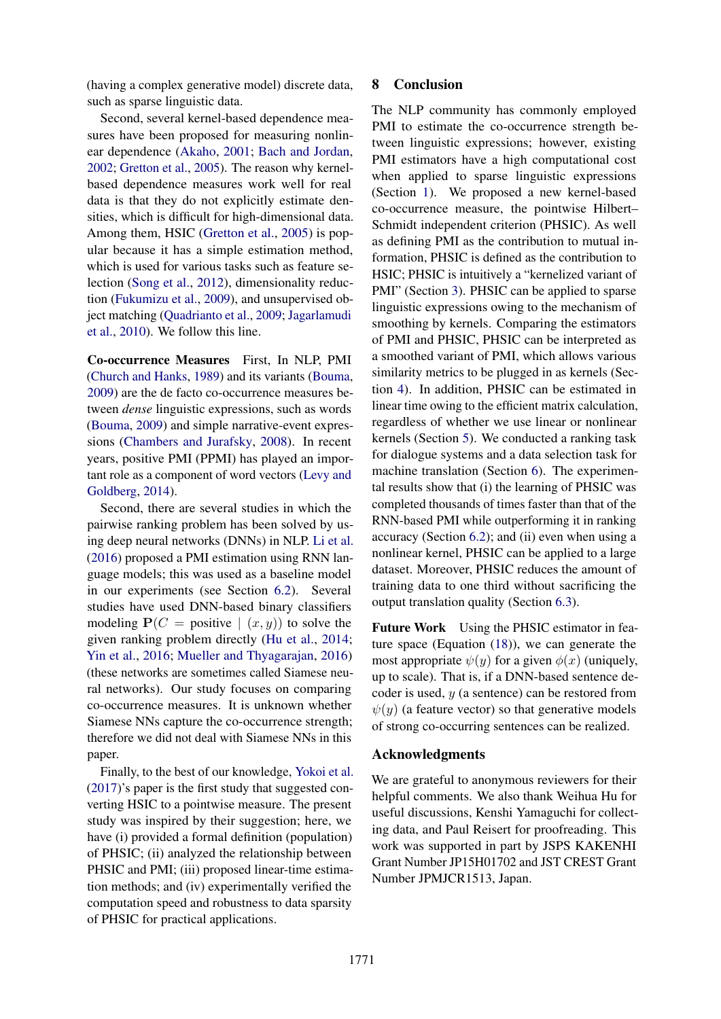(having a complex generative model) discrete data, such as sparse linguistic data.

Second, several kernel-based dependence measures have been proposed for measuring nonlinear dependence [\(Akaho,](#page-9-14) [2001;](#page-9-14) [Bach and Jordan,](#page-9-15) [2002;](#page-9-15) [Gretton et al.,](#page-9-4) [2005\)](#page-9-4). The reason why kernelbased dependence measures work well for real data is that they do not explicitly estimate densities, which is difficult for high-dimensional data. Among them, HSIC [\(Gretton et al.,](#page-9-4) [2005\)](#page-9-4) is popular because it has a simple estimation method, which is used for various tasks such as feature selection [\(Song et al.,](#page-10-8) [2012\)](#page-10-8), dimensionality reduction [\(Fukumizu et al.,](#page-9-16) [2009\)](#page-9-16), and unsupervised object matching [\(Quadrianto et al.,](#page-10-9) [2009;](#page-10-9) [Jagarlamudi](#page-9-17) [et al.,](#page-9-17) [2010\)](#page-9-17). We follow this line.

Co-occurrence Measures First, In NLP, PMI [\(Church and Hanks,](#page-9-2) [1989\)](#page-9-2) and its variants [\(Bouma,](#page-9-18) [2009\)](#page-9-18) are the de facto co-occurrence measures between *dense* linguistic expressions, such as words [\(Bouma,](#page-9-18) [2009\)](#page-9-18) and simple narrative-event expressions [\(Chambers and Jurafsky,](#page-9-19) [2008\)](#page-9-19). In recent years, positive PMI (PPMI) has played an important role as a component of word vectors [\(Levy and](#page-9-20) [Goldberg,](#page-9-20) [2014\)](#page-9-20).

Second, there are several studies in which the pairwise ranking problem has been solved by using deep neural networks (DNNs) in NLP. [Li et al.](#page-9-3) [\(2016\)](#page-9-3) proposed a PMI estimation using RNN language models; this was used as a baseline model in our experiments (see Section [6.2\)](#page-4-4). Several studies have used DNN-based binary classifiers modeling  $P(C = positive \mid (x, y))$  to solve the given ranking problem directly [\(Hu et al.,](#page-9-21) [2014;](#page-9-21) [Yin et al.,](#page-10-10) [2016;](#page-10-10) [Mueller and Thyagarajan,](#page-10-11) [2016\)](#page-10-11) (these networks are sometimes called Siamese neural networks). Our study focuses on comparing co-occurrence measures. It is unknown whether Siamese NNs capture the co-occurrence strength; therefore we did not deal with Siamese NNs in this paper.

Finally, to the best of our knowledge, [Yokoi et al.](#page-10-12) [\(2017\)](#page-10-12)'s paper is the first study that suggested converting HSIC to a pointwise measure. The present study was inspired by their suggestion; here, we have (i) provided a formal definition (population) of PHSIC; (ii) analyzed the relationship between PHSIC and PMI; (iii) proposed linear-time estimation methods; and (iv) experimentally verified the computation speed and robustness to data sparsity of PHSIC for practical applications.

### 8 Conclusion

The NLP community has commonly employed PMI to estimate the co-occurrence strength between linguistic expressions; however, existing PMI estimators have a high computational cost when applied to sparse linguistic expressions (Section [1\)](#page-0-1). We proposed a new kernel-based co-occurrence measure, the pointwise Hilbert– Schmidt independent criterion (PHSIC). As well as defining PMI as the contribution to mutual information, PHSIC is defined as the contribution to HSIC; PHSIC is intuitively a "kernelized variant of PMI" (Section [3\)](#page-1-1). PHSIC can be applied to sparse linguistic expressions owing to the mechanism of smoothing by kernels. Comparing the estimators of PMI and PHSIC, PHSIC can be interpreted as a smoothed variant of PMI, which allows various similarity metrics to be plugged in as kernels (Section [4\)](#page-2-0). In addition, PHSIC can be estimated in linear time owing to the efficient matrix calculation, regardless of whether we use linear or nonlinear kernels (Section [5\)](#page-3-1). We conducted a ranking task for dialogue systems and a data selection task for machine translation (Section [6\)](#page-4-1). The experimental results show that (i) the learning of PHSIC was completed thousands of times faster than that of the RNN-based PMI while outperforming it in ranking accuracy (Section [6.2\)](#page-4-4); and (ii) even when using a nonlinear kernel, PHSIC can be applied to a large dataset. Moreover, PHSIC reduces the amount of training data to one third without sacrificing the output translation quality (Section [6.3\)](#page-6-0).

Future Work Using the PHSIC estimator in feature space (Equation [\(18\)](#page-4-3)), we can generate the most appropriate  $\psi(y)$  for a given  $\phi(x)$  (uniquely, up to scale). That is, if a DNN-based sentence decoder is used,  $y$  (a sentence) can be restored from  $\psi(y)$  (a feature vector) so that generative models of strong co-occurring sentences can be realized.

### Acknowledgments

We are grateful to anonymous reviewers for their helpful comments. We also thank Weihua Hu for useful discussions, Kenshi Yamaguchi for collecting data, and Paul Reisert for proofreading. This work was supported in part by JSPS KAKENHI Grant Number JP15H01702 and JST CREST Grant Number JPMJCR1513, Japan.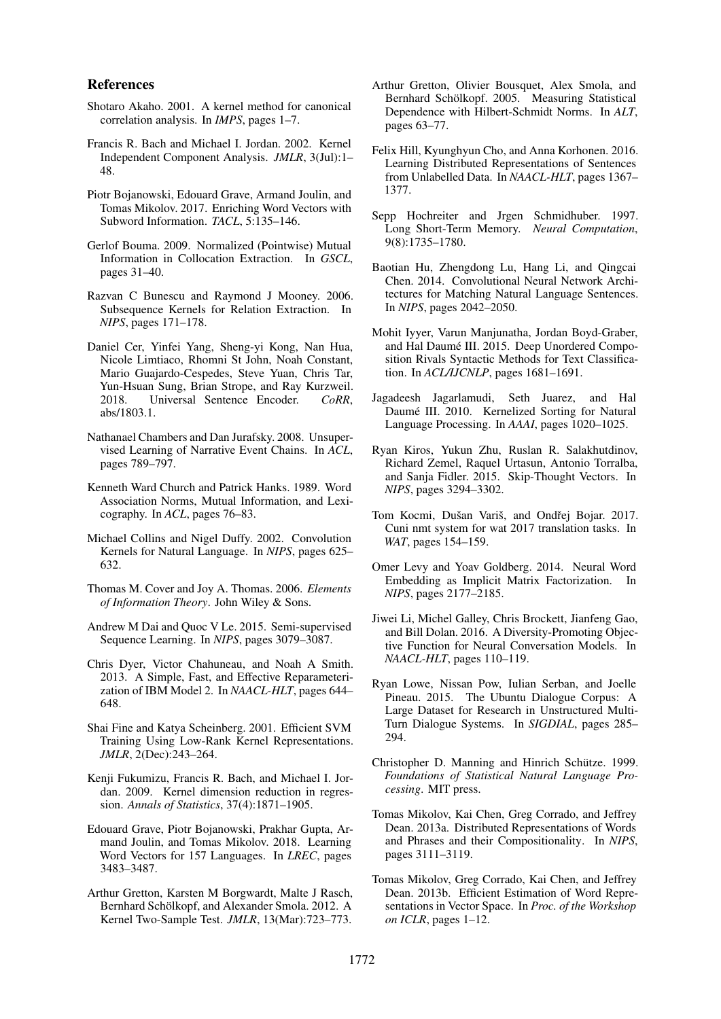#### References

- <span id="page-9-14"></span>Shotaro Akaho. 2001. A kernel method for canonical correlation analysis. In *IMPS*, pages 1–7.
- <span id="page-9-15"></span>Francis R. Bach and Michael I. Jordan. 2002. Kernel Independent Component Analysis. *JMLR*, 3(Jul):1– 48.
- <span id="page-9-8"></span>Piotr Bojanowski, Edouard Grave, Armand Joulin, and Tomas Mikolov. 2017. Enriching Word Vectors with Subword Information. *TACL*, 5:135–146.
- <span id="page-9-18"></span>Gerlof Bouma. 2009. Normalized (Pointwise) Mutual Information in Collocation Extraction. In *GSCL*, pages 31–40.
- <span id="page-9-27"></span>Razvan C Bunescu and Raymond J Mooney. 2006. Subsequence Kernels for Relation Extraction. In *NIPS*, pages 171–178.
- <span id="page-9-10"></span>Daniel Cer, Yinfei Yang, Sheng-yi Kong, Nan Hua, Nicole Limtiaco, Rhomni St John, Noah Constant, Mario Guajardo-Cespedes, Steve Yuan, Chris Tar, Yun-Hsuan Sung, Brian Strope, and Ray Kurzweil. 2018. Universal Sentence Encoder. *CoRR*, abs/1803.1.
- <span id="page-9-19"></span>Nathanael Chambers and Dan Jurafsky. 2008. Unsupervised Learning of Narrative Event Chains. In *ACL*, pages 789–797.
- <span id="page-9-2"></span>Kenneth Ward Church and Patrick Hanks. 1989. Word Association Norms, Mutual Information, and Lexicography. In *ACL*, pages 76–83.
- <span id="page-9-26"></span>Michael Collins and Nigel Duffy. 2002. Convolution Kernels for Natural Language. In *NIPS*, pages 625– 632.
- <span id="page-9-5"></span>Thomas M. Cover and Joy A. Thomas. 2006. *Elements of Information Theory*. John Wiley & Sons.
- <span id="page-9-23"></span>Andrew M Dai and Quoc V Le. 2015. Semi-supervised Sequence Learning. In *NIPS*, pages 3079–3087.
- <span id="page-9-13"></span>Chris Dyer, Victor Chahuneau, and Noah A Smith. 2013. A Simple, Fast, and Effective Reparameterization of IBM Model 2. In *NAACL-HLT*, pages 644– 648.
- <span id="page-9-28"></span>Shai Fine and Katya Scheinberg. 2001. Efficient SVM Training Using Low-Rank Kernel Representations. *JMLR*, 2(Dec):243–264.
- <span id="page-9-16"></span>Kenji Fukumizu, Francis R. Bach, and Michael I. Jordan. 2009. Kernel dimension reduction in regression. *Annals of Statistics*, 37(4):1871–1905.
- <span id="page-9-9"></span>Edouard Grave, Piotr Bojanowski, Prakhar Gupta, Armand Joulin, and Tomas Mikolov. 2018. Learning Word Vectors for 157 Languages. In *LREC*, pages 3483–3487.
- <span id="page-9-6"></span>Arthur Gretton, Karsten M Borgwardt, Malte J Rasch, Bernhard Schölkopf, and Alexander Smola. 2012. A Kernel Two-Sample Test. *JMLR*, 13(Mar):723–773.
- <span id="page-9-4"></span>Arthur Gretton, Olivier Bousquet, Alex Smola, and Bernhard Schölkopf. 2005. Measuring Statistical Dependence with Hilbert-Schmidt Norms. In *ALT*, pages 63–77.
- <span id="page-9-24"></span>Felix Hill, Kyunghyun Cho, and Anna Korhonen. 2016. Learning Distributed Representations of Sentences from Unlabelled Data. In *NAACL-HLT*, pages 1367– 1377.
- <span id="page-9-29"></span>Sepp Hochreiter and Jrgen Schmidhuber. 1997. Long Short-Term Memory. *Neural Computation*, 9(8):1735–1780.
- <span id="page-9-21"></span>Baotian Hu, Zhengdong Lu, Hang Li, and Qingcai Chen. 2014. Convolutional Neural Network Architectures for Matching Natural Language Sentences. In *NIPS*, pages 2042–2050.
- <span id="page-9-11"></span>Mohit Iyyer, Varun Manjunatha, Jordan Boyd-Graber, and Hal Daumé III. 2015. Deep Unordered Composition Rivals Syntactic Methods for Text Classification. In *ACL/IJCNLP*, pages 1681–1691.
- <span id="page-9-17"></span>Jagadeesh Jagarlamudi, Seth Juarez, and Hal Daumé III. 2010. Kernelized Sorting for Natural Language Processing. In *AAAI*, pages 1020–1025.
- <span id="page-9-22"></span>Ryan Kiros, Yukun Zhu, Ruslan R. Salakhutdinov, Richard Zemel, Raquel Urtasun, Antonio Torralba, and Sanja Fidler. 2015. Skip-Thought Vectors. In *NIPS*, pages 3294–3302.
- <span id="page-9-12"></span>Tom Kocmi, Dušan Variš, and Ondřej Bojar. 2017. Cuni nmt system for wat 2017 translation tasks. In *WAT*, pages 154–159.
- <span id="page-9-20"></span>Omer Levy and Yoav Goldberg. 2014. Neural Word Embedding as Implicit Matrix Factorization. In *NIPS*, pages 2177–2185.
- <span id="page-9-3"></span>Jiwei Li, Michel Galley, Chris Brockett, Jianfeng Gao, and Bill Dolan. 2016. A Diversity-Promoting Objective Function for Neural Conversation Models. In *NAACL-HLT*, pages 110–119.
- <span id="page-9-1"></span>Ryan Lowe, Nissan Pow, Iulian Serban, and Joelle Pineau. 2015. The Ubuntu Dialogue Corpus: A Large Dataset for Research in Unstructured Multi-Turn Dialogue Systems. In *SIGDIAL*, pages 285– 294.
- <span id="page-9-0"></span>Christopher D. Manning and Hinrich Schütze. 1999. *Foundations of Statistical Natural Language Processing*. MIT press.
- <span id="page-9-7"></span>Tomas Mikolov, Kai Chen, Greg Corrado, and Jeffrey Dean. 2013a. Distributed Representations of Words and Phrases and their Compositionality. In *NIPS*, pages 3111–3119.
- <span id="page-9-25"></span>Tomas Mikolov, Greg Corrado, Kai Chen, and Jeffrey Dean. 2013b. Efficient Estimation of Word Representations in Vector Space. In *Proc. of the Workshop on ICLR*, pages 1–12.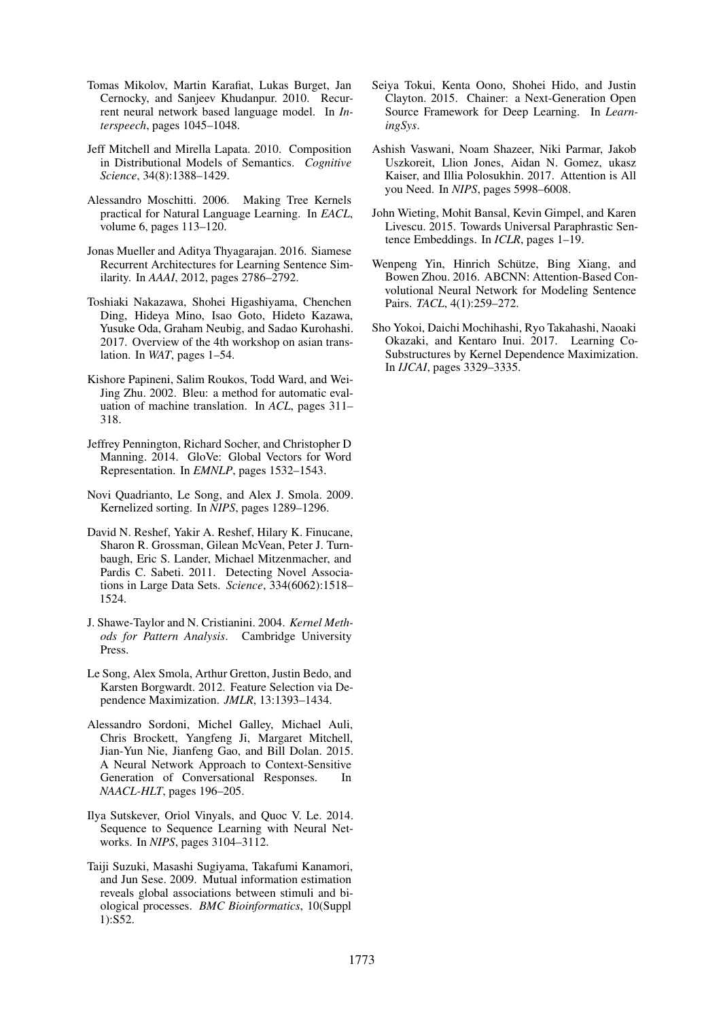- <span id="page-10-1"></span>Tomas Mikolov, Martin Karafiat, Lukas Burget, Jan Cernocky, and Sanjeev Khudanpur. 2010. Recurrent neural network based language model. In *Interspeech*, pages 1045–1048.
- <span id="page-10-13"></span>Jeff Mitchell and Mirella Lapata. 2010. Composition in Distributional Models of Semantics. *Cognitive Science*, 34(8):1388–1429.
- <span id="page-10-16"></span>Alessandro Moschitti. 2006. Making Tree Kernels practical for Natural Language Learning. In *EACL*, volume 6, pages 113–120.
- <span id="page-10-11"></span>Jonas Mueller and Aditya Thyagarajan. 2016. Siamese Recurrent Architectures for Learning Sentence Similarity. In *AAAI*, 2012, pages 2786–2792.
- <span id="page-10-3"></span>Toshiaki Nakazawa, Shohei Higashiyama, Chenchen Ding, Hideya Mino, Isao Goto, Hideto Kazawa, Yusuke Oda, Graham Neubig, and Sadao Kurohashi. 2017. Overview of the 4th workshop on asian translation. In *WAT*, pages 1–54.
- <span id="page-10-5"></span>Kishore Papineni, Salim Roukos, Todd Ward, and Wei-Jing Zhu. 2002. Bleu: a method for automatic evaluation of machine translation. In *ACL*, pages 311– 318.
- <span id="page-10-15"></span>Jeffrey Pennington, Richard Socher, and Christopher D Manning. 2014. GloVe: Global Vectors for Word Representation. In *EMNLP*, pages 1532–1543.
- <span id="page-10-9"></span>Novi Quadrianto, Le Song, and Alex J. Smola. 2009. Kernelized sorting. In *NIPS*, pages 1289–1296.
- <span id="page-10-7"></span>David N. Reshef, Yakir A. Reshef, Hilary K. Finucane, Sharon R. Grossman, Gilean McVean, Peter J. Turnbaugh, Eric S. Lander, Michael Mitzenmacher, and Pardis C. Sabeti. 2011. Detecting Novel Associations in Large Data Sets. *Science*, 334(6062):1518– 1524.
- <span id="page-10-17"></span>J. Shawe-Taylor and N. Cristianini. 2004. *Kernel Methods for Pattern Analysis*. Cambridge University Press.
- <span id="page-10-8"></span>Le Song, Alex Smola, Arthur Gretton, Justin Bedo, and Karsten Borgwardt. 2012. Feature Selection via Dependence Maximization. *JMLR*, 13:1393–1434.
- <span id="page-10-0"></span>Alessandro Sordoni, Michel Galley, Michael Auli, Chris Brockett, Yangfeng Ji, Margaret Mitchell, Jian-Yun Nie, Jianfeng Gao, and Bill Dolan. 2015. A Neural Network Approach to Context-Sensitive Generation of Conversational Responses. In *NAACL-HLT*, pages 196–205.
- <span id="page-10-2"></span>Ilya Sutskever, Oriol Vinyals, and Quoc V. Le. 2014. Sequence to Sequence Learning with Neural Networks. In *NIPS*, pages 3104–3112.
- <span id="page-10-6"></span>Taiji Suzuki, Masashi Sugiyama, Takafumi Kanamori, and Jun Sese. 2009. Mutual information estimation reveals global associations between stimuli and biological processes. *BMC Bioinformatics*, 10(Suppl 1):S52.
- <span id="page-10-18"></span>Seiya Tokui, Kenta Oono, Shohei Hido, and Justin Clayton. 2015. Chainer: a Next-Generation Open Source Framework for Deep Learning. In *LearningSys*.
- <span id="page-10-4"></span>Ashish Vaswani, Noam Shazeer, Niki Parmar, Jakob Uszkoreit, Llion Jones, Aidan N. Gomez, ukasz Kaiser, and Illia Polosukhin. 2017. Attention is All you Need. In *NIPS*, pages 5998–6008.
- <span id="page-10-14"></span>John Wieting, Mohit Bansal, Kevin Gimpel, and Karen Livescu. 2015. Towards Universal Paraphrastic Sentence Embeddings. In *ICLR*, pages 1–19.
- <span id="page-10-10"></span>Wenpeng Yin, Hinrich Schütze, Bing Xiang, and Bowen Zhou. 2016. ABCNN: Attention-Based Convolutional Neural Network for Modeling Sentence Pairs. *TACL*, 4(1):259–272.
- <span id="page-10-12"></span>Sho Yokoi, Daichi Mochihashi, Ryo Takahashi, Naoaki Okazaki, and Kentaro Inui. 2017. Learning Co-Substructures by Kernel Dependence Maximization. In *IJCAI*, pages 3329–3335.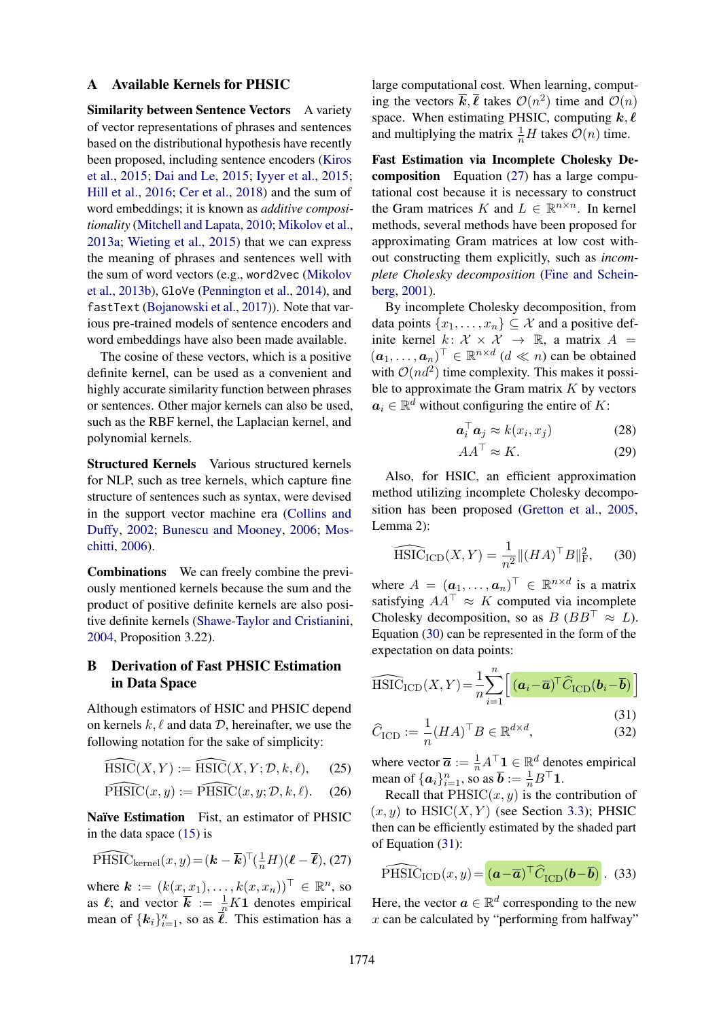#### <span id="page-11-0"></span>A Available Kernels for PHSIC

Similarity between Sentence Vectors A variety of vector representations of phrases and sentences based on the distributional hypothesis have recently been proposed, including sentence encoders [\(Kiros](#page-9-22) [et al.,](#page-9-22) [2015;](#page-9-22) [Dai and Le,](#page-9-23) [2015;](#page-9-23) [Iyyer et al.,](#page-9-11) [2015;](#page-9-11) [Hill et al.,](#page-9-24) [2016;](#page-9-24) [Cer et al.,](#page-9-10) [2018\)](#page-9-10) and the sum of word embeddings; it is known as *additive compositionality* [\(Mitchell and Lapata,](#page-10-13) [2010;](#page-10-13) [Mikolov et al.,](#page-9-7) [2013a;](#page-9-7) [Wieting et al.,](#page-10-14) [2015\)](#page-10-14) that we can express the meaning of phrases and sentences well with the sum of word vectors (e.g., word2vec [\(Mikolov](#page-9-25) [et al.,](#page-9-25) [2013b\)](#page-9-25), GloVe [\(Pennington et al.,](#page-10-15) [2014\)](#page-10-15), and fastText [\(Bojanowski et al.,](#page-9-8) [2017\)](#page-9-8)). Note that various pre-trained models of sentence encoders and word embeddings have also been made available.

The cosine of these vectors, which is a positive definite kernel, can be used as a convenient and highly accurate similarity function between phrases or sentences. Other major kernels can also be used, such as the RBF kernel, the Laplacian kernel, and polynomial kernels.

Structured Kernels Various structured kernels for NLP, such as tree kernels, which capture fine structure of sentences such as syntax, were devised in the support vector machine era [\(Collins and](#page-9-26) [Duffy,](#page-9-26) [2002;](#page-9-26) [Bunescu and Mooney,](#page-9-27) [2006;](#page-9-27) [Mos](#page-10-16)[chitti,](#page-10-16) [2006\)](#page-10-16).

Combinations We can freely combine the previously mentioned kernels because the sum and the product of positive definite kernels are also positive definite kernels [\(Shawe-Taylor and Cristianini,](#page-10-17) [2004,](#page-10-17) Proposition 3.22).

## <span id="page-11-1"></span>B Derivation of Fast PHSIC Estimation in Data Space

Although estimators of HSIC and PHSIC depend on kernels  $k, \ell$  and data D, hereinafter, we use the following notation for the sake of simplicity:

$$
\widehat{\text{HSIC}}(X, Y) := \widehat{\text{HSIC}}(X, Y; \mathcal{D}, k, \ell), \qquad (25)
$$

$$
\widehat{\text{PHSIC}}(x, y) := \widehat{\text{PHSIC}}(x, y; \mathcal{D}, k, \ell). \tag{26}
$$

Naïve Estimation Fist, an estimator of PHSIC in the data space [\(15\)](#page-2-4) is

$$
\widehat{\mathrm{PHSIC}}_{\mathrm{kernel}}(x,y) = (\mathbf{k} - \overline{\mathbf{k}})^{\top}(\frac{1}{n}H)(\boldsymbol{\ell} - \overline{\boldsymbol{\ell}}), (27)
$$

where  $\mathbf{k} := (k(x, x_1), \dots, k(x, x_n))^\top \in \mathbb{R}^n$ , so as  $\ell$ ; and vector  $\bar{k} := \frac{1}{n} K1$  denotes empirical mean of  $\{k_i\}_{i=1}^n$ , so as  $\overline{\ell}$ . This estimation has a large computational cost. When learning, computing the vectors  $\overline{k}, \overline{\ell}$  takes  $\mathcal{O}(n^2)$  time and  $\mathcal{O}(n)$ space. When estimating PHSIC, computing  $k, \ell$ and multiplying the matrix  $\frac{1}{n}H$  takes  $\mathcal{O}(n)$  time.

Fast Estimation via Incomplete Cholesky Decomposition Equation [\(27\)](#page-11-2) has a large computational cost because it is necessary to construct the Gram matrices K and  $L \in \mathbb{R}^{n \times n}$ . In kernel methods, several methods have been proposed for approximating Gram matrices at low cost without constructing them explicitly, such as *incomplete Cholesky decomposition* [\(Fine and Schein](#page-9-28)[berg,](#page-9-28) [2001\)](#page-9-28).

By incomplete Cholesky decomposition, from data points  $\{x_1, \ldots, x_n\} \subseteq \mathcal{X}$  and a positive definite kernel  $k: \mathcal{X} \times \mathcal{X} \rightarrow \mathbb{R}$ , a matrix  $A =$  $(\boldsymbol{a}_1, \dots, \boldsymbol{a}_n)^\top \in \mathbb{R}^{n \times d}$   $(d \ll n)$  can be obtained with  $\mathcal{O}(nd^2)$  time complexity. This makes it possible to approximate the Gram matrix  $K$  by vectors  $a_i \in \mathbb{R}^d$  without configuring the entire of K:

$$
\boldsymbol{a}_i^\top \boldsymbol{a}_j \approx k(x_i, x_j) \tag{28}
$$

<span id="page-11-3"></span>
$$
AA^{\top} \approx K. \tag{29}
$$

Also, for HSIC, an efficient approximation method utilizing incomplete Cholesky decomposition has been proposed [\(Gretton et al.,](#page-9-4) [2005,](#page-9-4) Lemma 2):

$$
\widehat{\text{HSIC}}_{\text{ICD}}(X, Y) = \frac{1}{n^2} \|(HA)^{\top}B\|_{\text{F}}^2,\qquad(30)
$$

where  $A = (\boldsymbol{a}_1, \dots, \boldsymbol{a}_n)^\top \in \mathbb{R}^{n \times d}$  is a matrix satisfying  $AA^{\top} \approx K$  computed via incomplete Cholesky decomposition, so as  $B (BB^{\top} \approx L)$ . Equation [\(30\)](#page-11-3) can be represented in the form of the expectation on data points:

$$
\widehat{\text{HSIC}}_{\text{ICD}}(X, Y) = \frac{1}{n} \sum_{i=1}^{n} \left[ (\boldsymbol{a}_i - \overline{\boldsymbol{a}})^{\top} \widehat{C}_{\text{ICD}}(\boldsymbol{b}_i - \overline{\boldsymbol{b}}) \right]
$$
(31)

<span id="page-11-4"></span>
$$
\widehat{C}_{\text{ICD}} := \frac{1}{n} (HA)^{\top} B \in \mathbb{R}^{d \times d},\tag{32}
$$

where vector  $\overline{a} := \frac{1}{n} A^{\top} \mathbf{1} \in \mathbb{R}^d$  denotes empirical mean of  $\{\boldsymbol{a}_i\}_{i=1}^n$ , so as  $\boldsymbol{\overline{b}} := \frac{1}{n}B^\top \mathbf{1}$ .

Recall that  $PHSIC(x, y)$  is the contribution of  $(x, y)$  to HSIC $(X, Y)$  (see Section [3.3\)](#page-2-7); PHSIC then can be efficiently estimated by the shaded part of Equation [\(31\)](#page-11-4):

<span id="page-11-5"></span><span id="page-11-2"></span>
$$
\widehat{\mathrm{PHSIC}}_{\mathrm{ICD}}(x,y) = \left(\boldsymbol{a} - \overline{\boldsymbol{a}}\right)^{\top} \widehat{C}_{\mathrm{ICD}}(\boldsymbol{b} - \overline{\boldsymbol{b}}).
$$
 (33)

Here, the vector  $\mathbf{a} \in \mathbb{R}^d$  corresponding to the new  $x$  can be calculated by "performing from halfway"